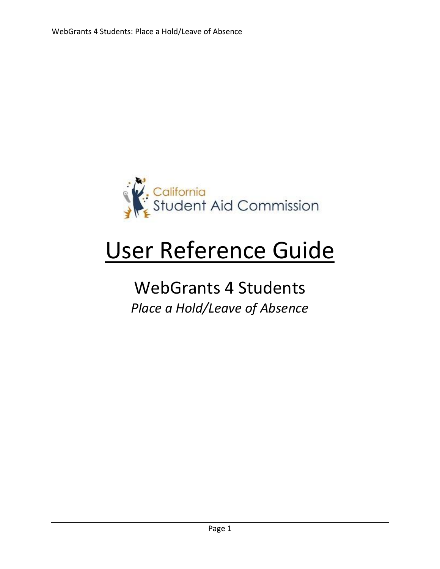

# User Reference Guide

## WebGrants 4 Students *Place a Hold/Leave of Absence*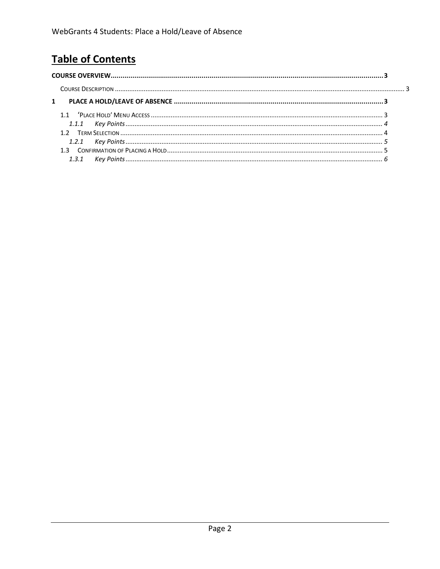### **Table of Contents**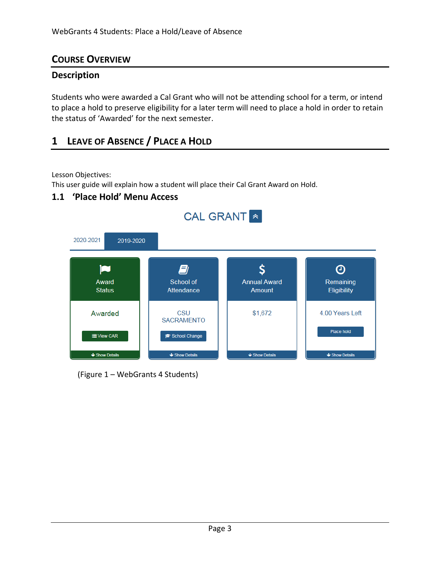#### <span id="page-2-0"></span>**COURSE OVERVIEW**

#### <span id="page-2-1"></span>**Description**

Students who were awarded a Cal Grant who will not be attending school for a term, or intend to place a hold to preserve eligibility for a later term will need to place a hold in order to retain the status of 'Awarded' for the next semester.

#### **1 LEAVE OF ABSENCE / PLACE A HOLD**

Lesson Objectives:

This user guide will explain how a student will place their Cal Grant Award on Hold.

#### **1.1 'Place Hold' Menu Access**



(Figure 1 – WebGrants 4 Students)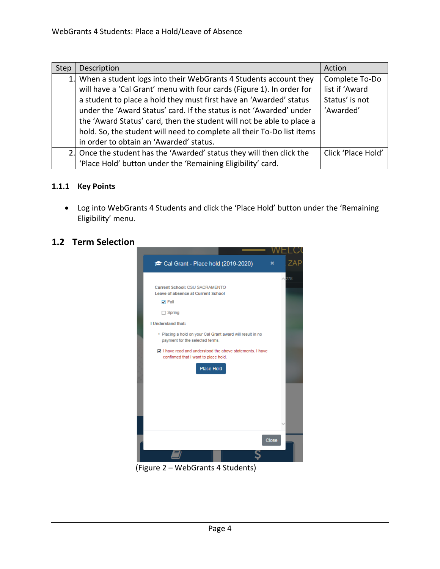| <b>Step</b> | Description                                                            | Action             |
|-------------|------------------------------------------------------------------------|--------------------|
|             | 1. When a student logs into their WebGrants 4 Students account they    | Complete To-Do     |
|             | will have a 'Cal Grant' menu with four cards (Figure 1). In order for  | list if 'Award     |
|             | a student to place a hold they must first have an 'Awarded' status     | Status' is not     |
|             | under the 'Award Status' card. If the status is not 'Awarded' under    | 'Awarded'          |
|             | the 'Award Status' card, then the student will not be able to place a  |                    |
|             | hold. So, the student will need to complete all their To-Do list items |                    |
|             | in order to obtain an 'Awarded' status.                                |                    |
|             | 2. Once the student has the 'Awarded' status they will then click the  | Click 'Place Hold' |
|             | 'Place Hold' button under the 'Remaining Eligibility' card.            |                    |

#### <span id="page-3-0"></span>**1.1.1 Key Points**

• Log into WebGrants 4 Students and click the 'Place Hold' button under the 'Remaining Eligibility' menu.

#### **1.2 Term Selection**



(Figure 2 – WebGrants 4 Students)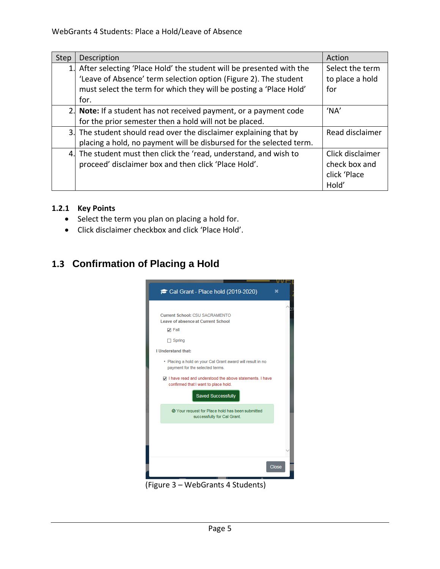| Step | Description                                                            | Action           |
|------|------------------------------------------------------------------------|------------------|
|      | 1. After selecting 'Place Hold' the student will be presented with the | Select the term  |
|      | 'Leave of Absence' term selection option (Figure 2). The student       | to place a hold  |
|      | must select the term for which they will be posting a 'Place Hold'     | for              |
|      | for.                                                                   |                  |
|      | 2. Note: If a student has not received payment, or a payment code      | 'NA'             |
|      | for the prior semester then a hold will not be placed.                 |                  |
|      | 3. The student should read over the disclaimer explaining that by      | Read disclaimer  |
|      | placing a hold, no payment will be disbursed for the selected term.    |                  |
|      | 4. The student must then click the 'read, understand, and wish to      | Click disclaimer |
|      | proceed' disclaimer box and then click 'Place Hold'.                   | check box and    |
|      |                                                                        | click 'Place     |
|      |                                                                        | Hold'            |

#### <span id="page-4-0"></span>**1.2.1 Key Points**

- Select the term you plan on placing a hold for.
- Click disclaimer checkbox and click 'Place Hold'.

#### **1.3 Confirmation of Placing a Hold**



(Figure 3 – WebGrants 4 Students)